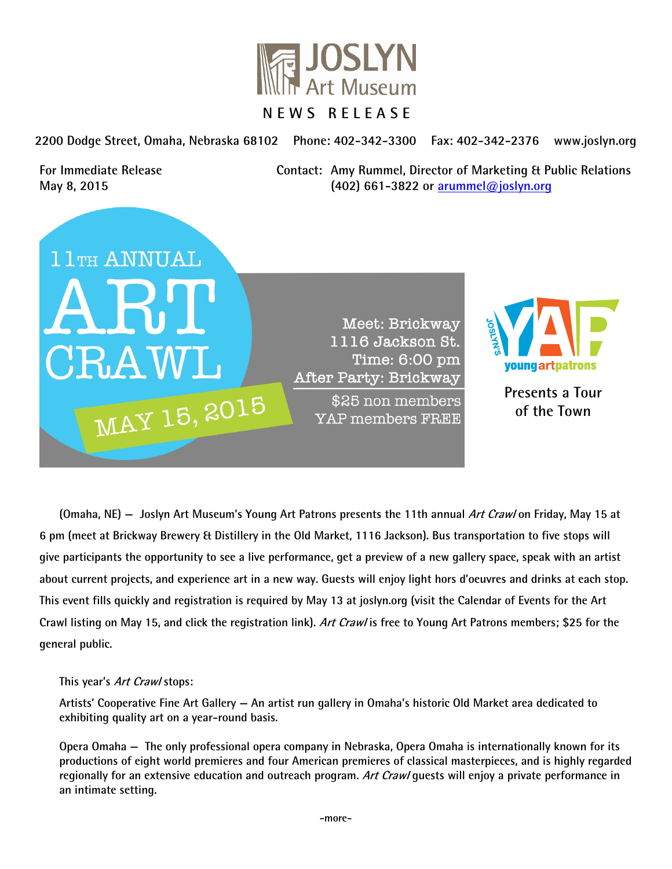

**2200 Dodge Street, Omaha, Nebraska 68102 Phone: 402-342-3300 Fax: 402-342-2376 www.joslyn.org** 

**For Immediate Release Contact: Amy Rummel, Director of Marketing & Public Relations May 8, 2015 (402) 661-3822 or arummel@joslyn.org**



Meet: Brickway 1116 Jackson St. Time: 6:00 pm After Party: Brickway

\$25 non members YAP members FREE



**Presents a Tour of the Town** 

**(Omaha, NE) — Joslyn Art Museum's Young Art Patrons presents the 11th annual Art Craw/on Friday, May 15 at 6 pm (meet at Brickway Brewery & Distillery in the Old Market, 1116 Jackson). Bus transportation to five stops will give participants the opportunity to see a live performance, get a preview of a new gallery space, speak with an artist about current projects, and experience art in a new way. Guests will enjoy light hors d'oeuvres and drinks at each stop. This event fills quickly and registration is required by May 13 at joslyn.org (visit the Calendar of Events for the Art Crawl listing on May 15, and click the registration link). Art Crawl is free to Young Art Patrons members; \$25 for the general public.** 

## **This year's Art Crawl stops:**

**Artists' Cooperative Fine Art Gallery — An artist run gallery in Omaha's historic Old Market area dedicated to exhibiting quality art on a year-round basis.** 

**Opera Omaha — The only professional opera company in Nebraska, Opera Omaha is internationally known for its productions of eight world premieres and four American premieres of classical masterpieces, and is highly regarded regionally for an extensive education and outreach program. Art Crawl guests will enjoy a private performance in an intimate setting.**